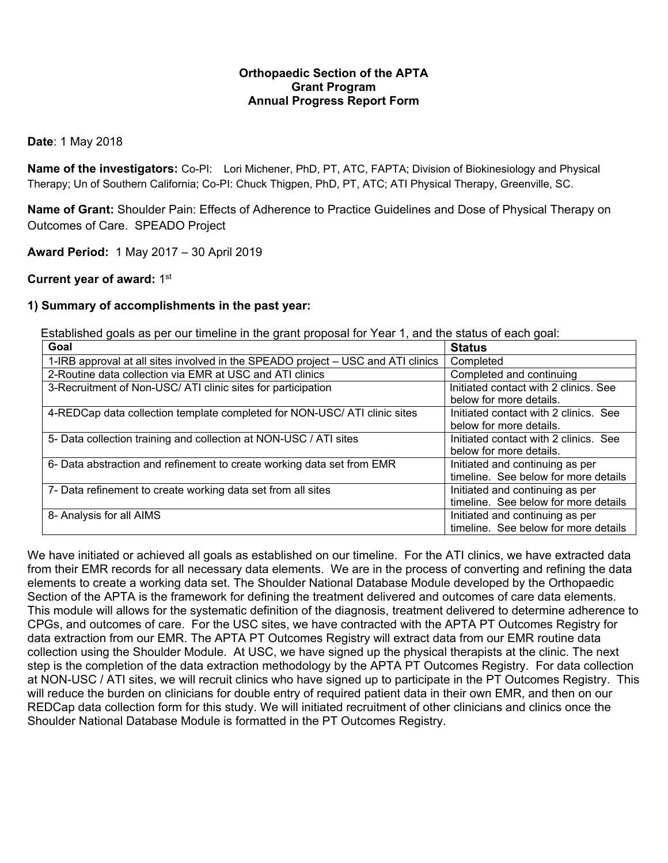### **Orthopaedic Section of the APTA Grant Program Annual Progress Report Form**

#### **Date**: 1 May 2018

**Name of the investigators:** Co-PI: Lori Michener, PhD, PT, ATC, FAPTA; Division of Biokinesiology and Physical Therapy; Un of Southern California; Co-PI: Chuck Thigpen, PhD, PT, ATC; ATI Physical Therapy, Greenville, SC.

**Name of Grant:** Shoulder Pain: Effects of Adherence to Practice Guidelines and Dose of Physical Therapy on Outcomes of Care. SPEADO Project

**Award Period:** 1 May 2017 – 30 April 2019

### **Current year of award:** 1st

### **1) Summary of accomplishments in the past year:**

Established goals as per our timeline in the grant proposal for Year 1, and the status of each goal:

| Goal                                                                             | <b>Status</b>                         |  |  |
|----------------------------------------------------------------------------------|---------------------------------------|--|--|
| 1-IRB approval at all sites involved in the SPEADO project – USC and ATI clinics | Completed                             |  |  |
| 2-Routine data collection via EMR at USC and ATI clinics                         | Completed and continuing              |  |  |
| 3-Recruitment of Non-USC/ ATI clinic sites for participation                     | Initiated contact with 2 clinics. See |  |  |
|                                                                                  | below for more details.               |  |  |
| 4-REDCap data collection template completed for NON-USC/ ATI clinic sites        | Initiated contact with 2 clinics. See |  |  |
|                                                                                  | below for more details.               |  |  |
| 5- Data collection training and collection at NON-USC / ATI sites                | Initiated contact with 2 clinics. See |  |  |
|                                                                                  | below for more details.               |  |  |
| 6- Data abstraction and refinement to create working data set from EMR           | Initiated and continuing as per       |  |  |
|                                                                                  | timeline. See below for more details  |  |  |
| 7- Data refinement to create working data set from all sites                     | Initiated and continuing as per       |  |  |
|                                                                                  | timeline. See below for more details  |  |  |
| 8- Analysis for all AIMS                                                         | Initiated and continuing as per       |  |  |
|                                                                                  | timeline. See below for more details  |  |  |

We have initiated or achieved all goals as established on our timeline. For the ATI clinics, we have extracted data from their EMR records for all necessary data elements. We are in the process of converting and refining the data elements to create a working data set. The Shoulder National Database Module developed by the Orthopaedic Section of the APTA is the framework for defining the treatment delivered and outcomes of care data elements. This module will allows for the systematic definition of the diagnosis, treatment delivered to determine adherence to CPGs, and outcomes of care. For the USC sites, we have contracted with the APTA PT Outcomes Registry for data extraction from our EMR. The APTA PT Outcomes Registry will extract data from our EMR routine data collection using the Shoulder Module. At USC, we have signed up the physical therapists at the clinic. The next step is the completion of the data extraction methodology by the APTA PT Outcomes Registry. For data collection at NON-USC / ATI sites, we will recruit clinics who have signed up to participate in the PT Outcomes Registry. This will reduce the burden on clinicians for double entry of required patient data in their own EMR, and then on our REDCap data collection form for this study. We will initiated recruitment of other clinicians and clinics once the Shoulder National Database Module is formatted in the PT Outcomes Registry.